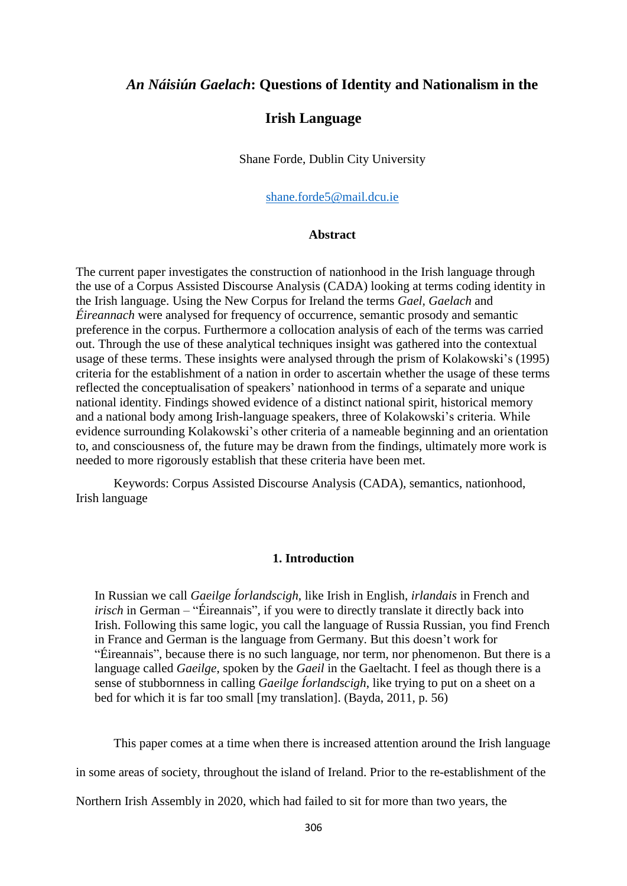# *An Náisiún Gaelach***: Questions of Identity and Nationalism in the**

# **Irish Language**

Shane Forde, Dublin City University

#### [shane.forde5@mail.dcu.ie](mailto:shane.forde5@mail.dcu.ie)

#### **Abstract**

The current paper investigates the construction of nationhood in the Irish language through the use of a Corpus Assisted Discourse Analysis (CADA) looking at terms coding identity in the Irish language. Using the New Corpus for Ireland the terms *Gael, Gaelach* and *Éireannach* were analysed for frequency of occurrence, semantic prosody and semantic preference in the corpus. Furthermore a collocation analysis of each of the terms was carried out. Through the use of these analytical techniques insight was gathered into the contextual usage of these terms. These insights were analysed through the prism of Kolakowski's (1995) criteria for the establishment of a nation in order to ascertain whether the usage of these terms reflected the conceptualisation of speakers' nationhood in terms of a separate and unique national identity. Findings showed evidence of a distinct national spirit, historical memory and a national body among Irish-language speakers, three of Kolakowski's criteria. While evidence surrounding Kolakowski's other criteria of a nameable beginning and an orientation to, and consciousness of, the future may be drawn from the findings, ultimately more work is needed to more rigorously establish that these criteria have been met.

Keywords: Corpus Assisted Discourse Analysis (CADA), semantics, nationhood, Irish language

# **1. Introduction**

In Russian we call *Gaeilge Íorlandscigh,* like Irish in English, *irlandais* in French and *irisch* in German – "Éireannais"*,* if you were to directly translate it directly back into Irish. Following this same logic, you call the language of Russia Russian, you find French in France and German is the language from Germany. But this doesn't work for "Éireannais", because there is no such language, nor term, nor phenomenon. But there is a language called *Gaeilge*, spoken by the *Gaeil* in the Gaeltacht. I feel as though there is a sense of stubbornness in calling *Gaeilge Íorlandscigh*, like trying to put on a sheet on a bed for which it is far too small [my translation]. (Bayda, 2011, p. 56)

This paper comes at a time when there is increased attention around the Irish language

in some areas of society, throughout the island of Ireland. Prior to the re-establishment of the

Northern Irish Assembly in 2020, which had failed to sit for more than two years, the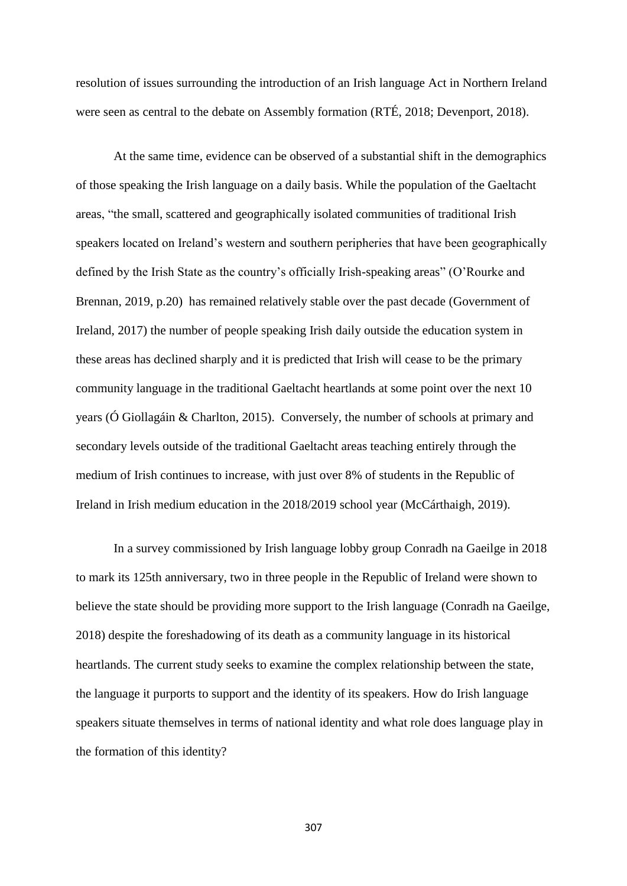resolution of issues surrounding the introduction of an Irish language Act in Northern Ireland were seen as central to the debate on Assembly formation (RTÉ, 2018; Devenport, 2018).

At the same time, evidence can be observed of a substantial shift in the demographics of those speaking the Irish language on a daily basis. While the population of the Gaeltacht areas, "the small, scattered and geographically isolated communities of traditional Irish speakers located on Ireland's western and southern peripheries that have been geographically defined by the Irish State as the country's officially Irish-speaking areas" (O'Rourke and Brennan, 2019, p.20) has remained relatively stable over the past decade (Government of Ireland, 2017) the number of people speaking Irish daily outside the education system in these areas has declined sharply and it is predicted that Irish will cease to be the primary community language in the traditional Gaeltacht heartlands at some point over the next 10 years (Ó Giollagáin & Charlton, 2015). Conversely, the number of schools at primary and secondary levels outside of the traditional Gaeltacht areas teaching entirely through the medium of Irish continues to increase, with just over 8% of students in the Republic of Ireland in Irish medium education in the 2018/2019 school year (McCárthaigh, 2019).

In a survey commissioned by Irish language lobby group Conradh na Gaeilge in 2018 to mark its 125th anniversary, two in three people in the Republic of Ireland were shown to believe the state should be providing more support to the Irish language (Conradh na Gaeilge, 2018) despite the foreshadowing of its death as a community language in its historical heartlands. The current study seeks to examine the complex relationship between the state, the language it purports to support and the identity of its speakers. How do Irish language speakers situate themselves in terms of national identity and what role does language play in the formation of this identity?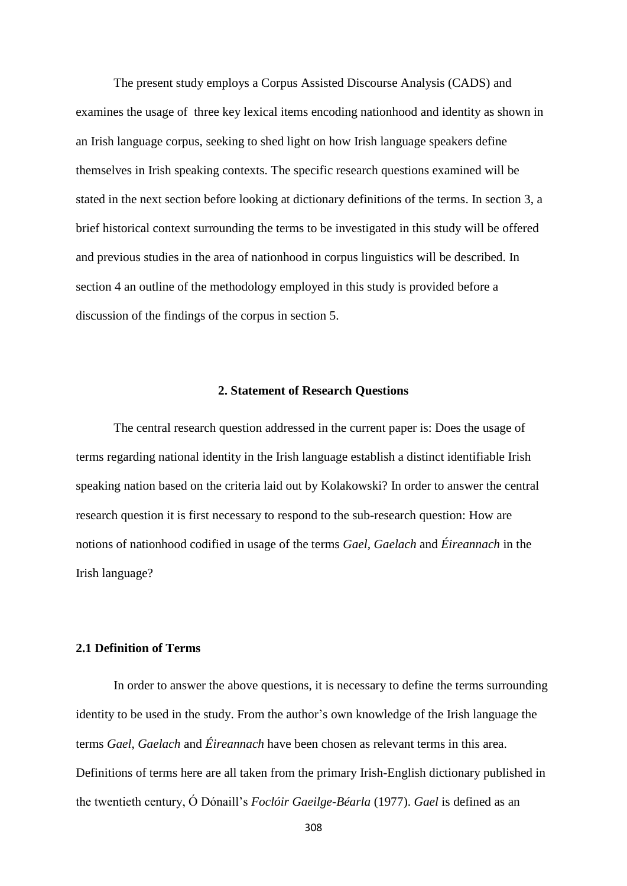The present study employs a Corpus Assisted Discourse Analysis (CADS) and examines the usage of three key lexical items encoding nationhood and identity as shown in an Irish language corpus, seeking to shed light on how Irish language speakers define themselves in Irish speaking contexts. The specific research questions examined will be stated in the next section before looking at dictionary definitions of the terms. In section 3, a brief historical context surrounding the terms to be investigated in this study will be offered and previous studies in the area of nationhood in corpus linguistics will be described. In section 4 an outline of the methodology employed in this study is provided before a discussion of the findings of the corpus in section 5.

#### **2. Statement of Research Questions**

The central research question addressed in the current paper is: Does the usage of terms regarding national identity in the Irish language establish a distinct identifiable Irish speaking nation based on the criteria laid out by Kolakowski? In order to answer the central research question it is first necessary to respond to the sub-research question: How are notions of nationhood codified in usage of the terms *Gael, Gaelach* and *Éireannach* in the Irish language?

#### **2.1 Definition of Terms**

In order to answer the above questions, it is necessary to define the terms surrounding identity to be used in the study. From the author's own knowledge of the Irish language the terms *Gael*, *Gaelach* and *Éireannach* have been chosen as relevant terms in this area. Definitions of terms here are all taken from the primary Irish-English dictionary published in the twentieth century, Ó Dónaill's *Foclóir Gaeilge-Béarla* (1977). *Gael* is defined as an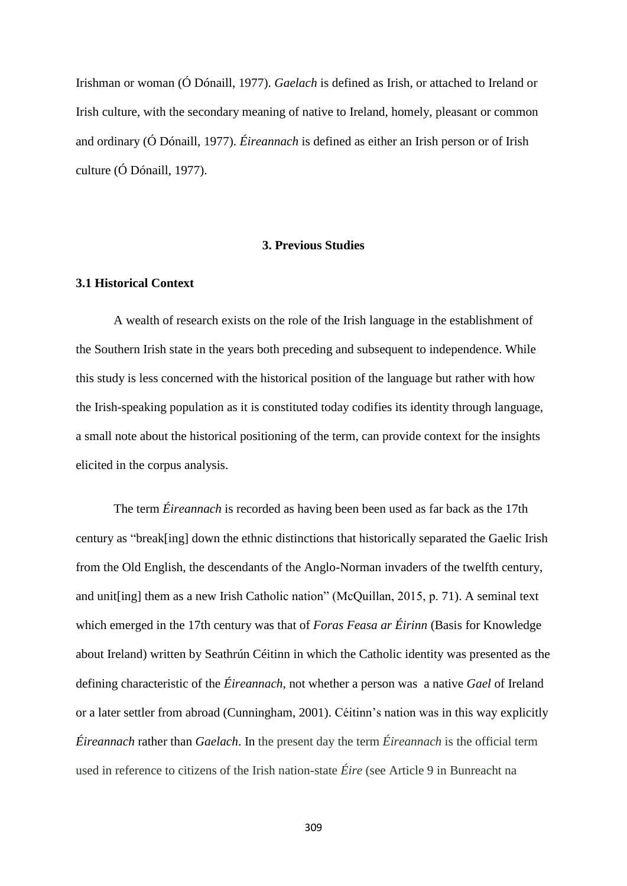Irishman or woman (Ó Dónaill, 1977). *Gaelach* is defined as Irish, or attached to Ireland or Irish culture, with the secondary meaning of native to Ireland, homely, pleasant or common and ordinary (Ó Dónaill, 1977). *Éireannach* is defined as either an Irish person or of Irish culture (Ó Dónaill, 1977).

#### **3. Previous Studies**

# **3.1 Historical Context**

A wealth of research exists on the role of the Irish language in the establishment of the Southern Irish state in the years both preceding and subsequent to independence. While this study is less concerned with the historical position of the language but rather with how the Irish-speaking population as it is constituted today codifies its identity through language, a small note about the historical positioning of the term, can provide context for the insights elicited in the corpus analysis.

The term *Éireannach* is recorded as having been been used as far back as the 17th century as "break[ing] down the ethnic distinctions that historically separated the Gaelic Irish from the Old English, the descendants of the Anglo-Norman invaders of the twelfth century, and unit[ing] them as a new Irish Catholic nation" (McQuillan, 2015, p. 71). A seminal text which emerged in the 17th century was that of *Foras Feasa ar Éirinn* (Basis for Knowledge about Ireland) written by Seathrún Céitinn in which the Catholic identity was presented as the defining characteristic of the *Éireannach*, not whether a person was a native *Gael* of Ireland or a later settler from abroad (Cunningham, 2001). Céitinn's nation was in this way explicitly *Éireannach* rather than *Gaelach*. In the present day the term *Éireannach* is the official term used in reference to citizens of the Irish nation-state *Éire* (see Article 9 in Bunreacht na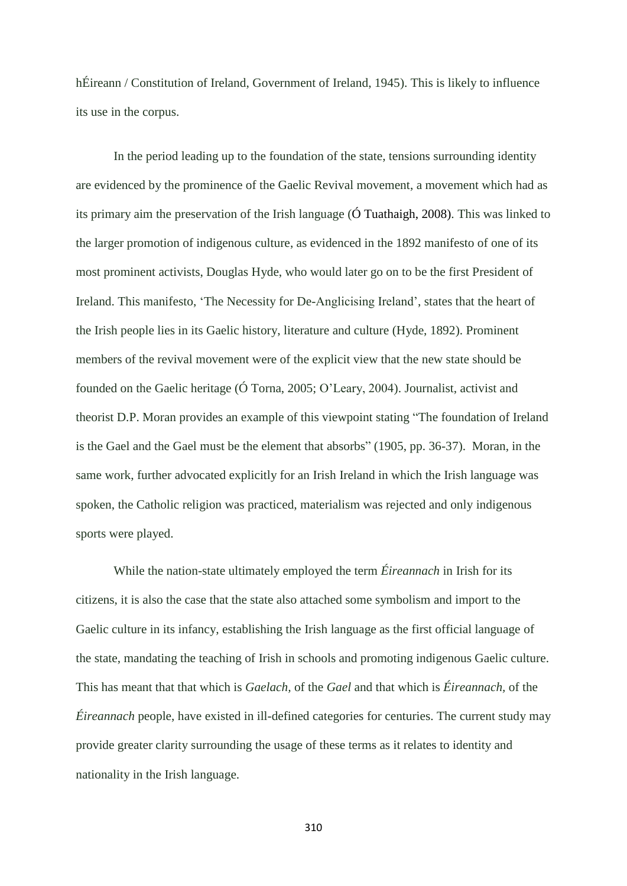hÉireann / Constitution of Ireland, Government of Ireland, 1945). This is likely to influence its use in the corpus.

In the period leading up to the foundation of the state, tensions surrounding identity are evidenced by the prominence of the Gaelic Revival movement, a movement which had as its primary aim the preservation of the Irish language (Ó Tuathaigh, 2008). This was linked to the larger promotion of indigenous culture, as evidenced in the 1892 manifesto of one of its most prominent activists, Douglas Hyde, who would later go on to be the first President of Ireland. This manifesto, 'The Necessity for De-Anglicising Ireland', states that the heart of the Irish people lies in its Gaelic history, literature and culture (Hyde, 1892). Prominent members of the revival movement were of the explicit view that the new state should be founded on the Gaelic heritage (Ó Torna, 2005; O'Leary, 2004). Journalist, activist and theorist D.P. Moran provides an example of this viewpoint stating "The foundation of Ireland is the Gael and the Gael must be the element that absorbs" (1905, pp. 36-37). Moran, in the same work, further advocated explicitly for an Irish Ireland in which the Irish language was spoken, the Catholic religion was practiced, materialism was rejected and only indigenous sports were played.

While the nation-state ultimately employed the term *Éireannach* in Irish for its citizens, it is also the case that the state also attached some symbolism and import to the Gaelic culture in its infancy, establishing the Irish language as the first official language of the state, mandating the teaching of Irish in schools and promoting indigenous Gaelic culture. This has meant that that which is *Gaelach,* of the *Gael* and that which is *Éireannach,* of the *Éireannach* people, have existed in ill-defined categories for centuries. The current study may provide greater clarity surrounding the usage of these terms as it relates to identity and nationality in the Irish language.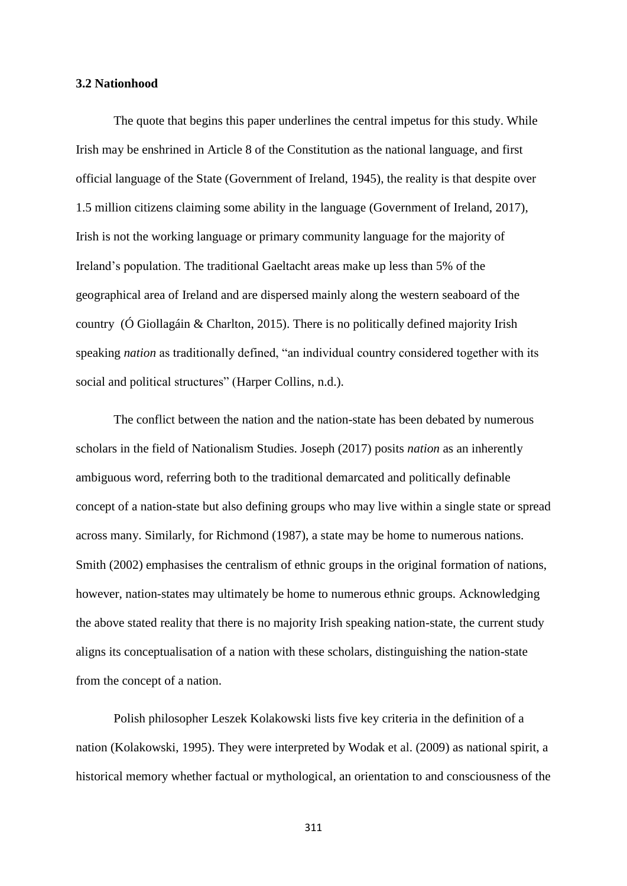#### **3.2 Nationhood**

The quote that begins this paper underlines the central impetus for this study. While Irish may be enshrined in Article 8 of the Constitution as the national language, and first official language of the State (Government of Ireland, 1945), the reality is that despite over 1.5 million citizens claiming some ability in the language (Government of Ireland, 2017), Irish is not the working language or primary community language for the majority of Ireland's population. The traditional Gaeltacht areas make up less than 5% of the geographical area of Ireland and are dispersed mainly along the western seaboard of the country (Ó Giollagáin & Charlton, 2015). There is no politically defined majority Irish speaking *nation* as traditionally defined, "an individual country considered together with its social and political structures" (Harper Collins, n.d.).

The conflict between the nation and the nation-state has been debated by numerous scholars in the field of Nationalism Studies. Joseph (2017) posits *nation* as an inherently ambiguous word, referring both to the traditional demarcated and politically definable concept of a nation-state but also defining groups who may live within a single state or spread across many. Similarly, for Richmond (1987), a state may be home to numerous nations. Smith (2002) emphasises the centralism of ethnic groups in the original formation of nations, however, nation-states may ultimately be home to numerous ethnic groups. Acknowledging the above stated reality that there is no majority Irish speaking nation-state, the current study aligns its conceptualisation of a nation with these scholars, distinguishing the nation-state from the concept of a nation.

Polish philosopher Leszek Kolakowski lists five key criteria in the definition of a nation (Kolakowski, 1995). They were interpreted by Wodak et al. (2009) as national spirit, a historical memory whether factual or mythological, an orientation to and consciousness of the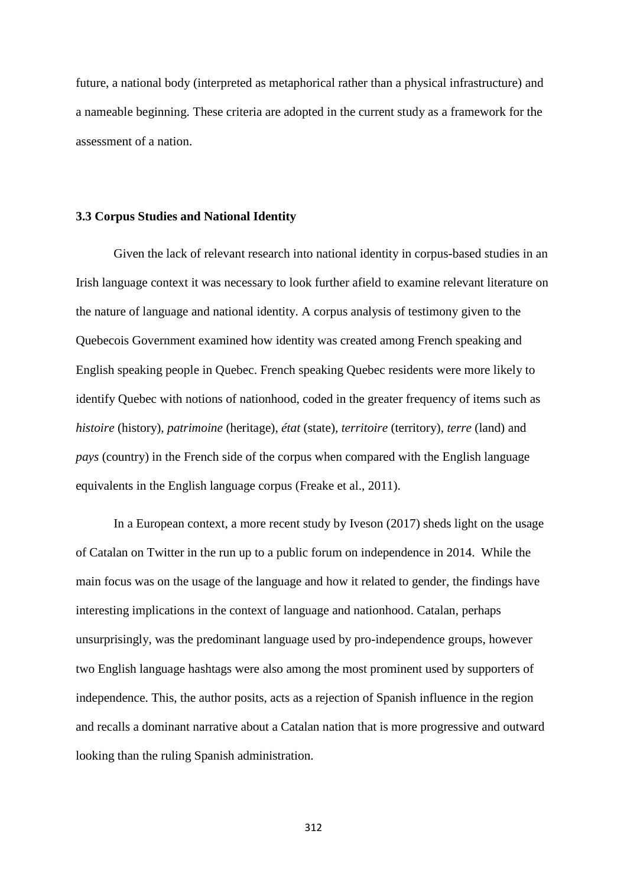future, a national body (interpreted as metaphorical rather than a physical infrastructure) and a nameable beginning. These criteria are adopted in the current study as a framework for the assessment of a nation.

### **3.3 Corpus Studies and National Identity**

Given the lack of relevant research into national identity in corpus-based studies in an Irish language context it was necessary to look further afield to examine relevant literature on the nature of language and national identity. A corpus analysis of testimony given to the Quebecois Government examined how identity was created among French speaking and English speaking people in Quebec. French speaking Quebec residents were more likely to identify Quebec with notions of nationhood, coded in the greater frequency of items such as *histoire* (history)*, patrimoine* (heritage), *état* (state)*, territoire* (territory), *terre* (land) and *pays* (country) in the French side of the corpus when compared with the English language equivalents in the English language corpus (Freake et al., 2011).

In a European context, a more recent study by Iveson (2017) sheds light on the usage of Catalan on Twitter in the run up to a public forum on independence in 2014. While the main focus was on the usage of the language and how it related to gender, the findings have interesting implications in the context of language and nationhood. Catalan, perhaps unsurprisingly, was the predominant language used by pro-independence groups, however two English language hashtags were also among the most prominent used by supporters of independence. This, the author posits, acts as a rejection of Spanish influence in the region and recalls a dominant narrative about a Catalan nation that is more progressive and outward looking than the ruling Spanish administration.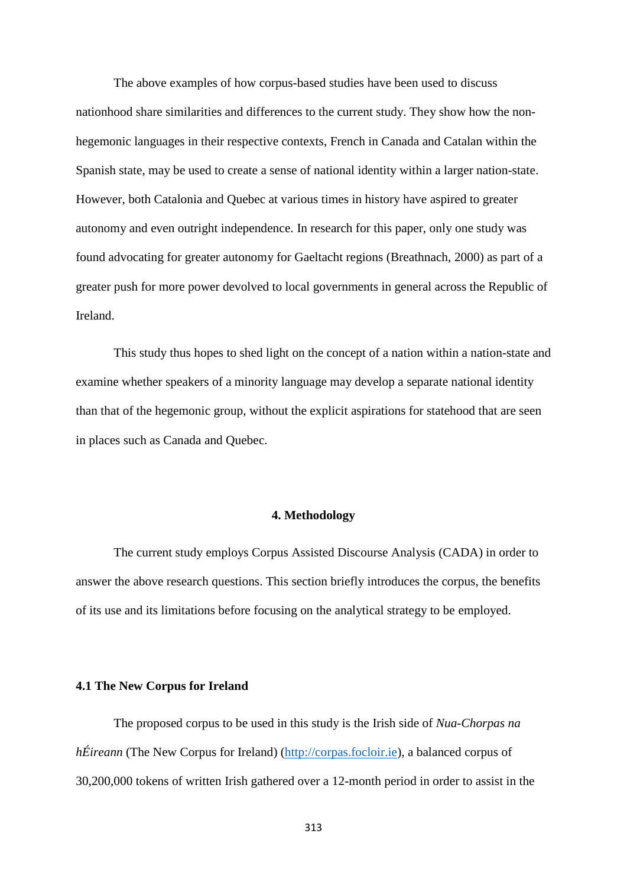The above examples of how corpus-based studies have been used to discuss nationhood share similarities and differences to the current study. They show how the nonhegemonic languages in their respective contexts, French in Canada and Catalan within the Spanish state, may be used to create a sense of national identity within a larger nation-state. However, both Catalonia and Quebec at various times in history have aspired to greater autonomy and even outright independence. In research for this paper, only one study was found advocating for greater autonomy for Gaeltacht regions (Breathnach, 2000) as part of a greater push for more power devolved to local governments in general across the Republic of Ireland.

This study thus hopes to shed light on the concept of a nation within a nation-state and examine whether speakers of a minority language may develop a separate national identity than that of the hegemonic group, without the explicit aspirations for statehood that are seen in places such as Canada and Quebec.

# **4. Methodology**

The current study employs Corpus Assisted Discourse Analysis (CADA) in order to answer the above research questions. This section briefly introduces the corpus, the benefits of its use and its limitations before focusing on the analytical strategy to be employed.

### **4.1 The New Corpus for Ireland**

The proposed corpus to be used in this study is the Irish side of *Nua-Chorpas na hÉireann* (The New Corpus for Ireland) (*http://corpas.focloir.ie*), a balanced corpus of 30,200,000 tokens of written Irish gathered over a 12-month period in order to assist in the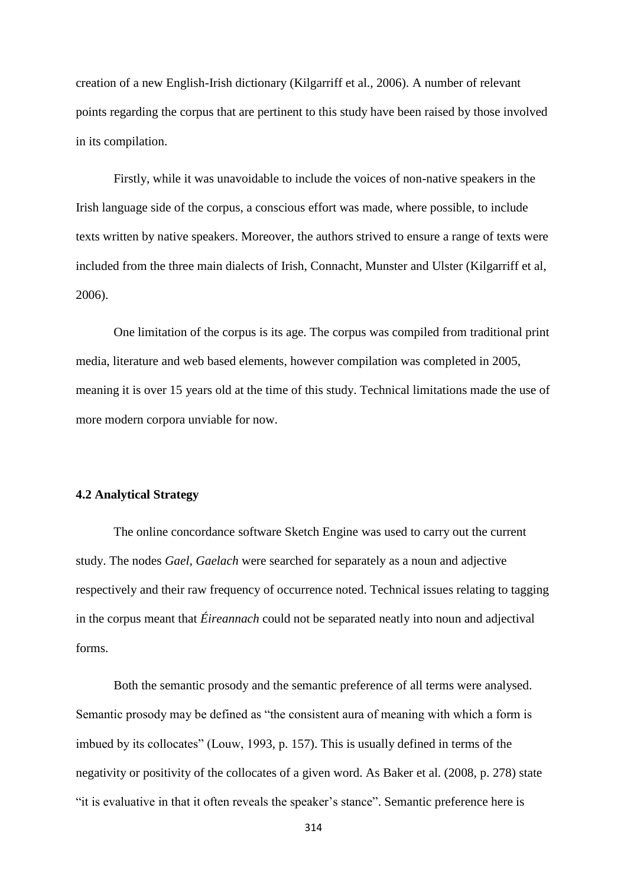creation of a new English-Irish dictionary (Kilgarriff et al., 2006). A number of relevant points regarding the corpus that are pertinent to this study have been raised by those involved in its compilation.

Firstly, while it was unavoidable to include the voices of non-native speakers in the Irish language side of the corpus, a conscious effort was made, where possible, to include texts written by native speakers. Moreover, the authors strived to ensure a range of texts were included from the three main dialects of Irish, Connacht, Munster and Ulster (Kilgarriff et al, 2006).

One limitation of the corpus is its age. The corpus was compiled from traditional print media, literature and web based elements, however compilation was completed in 2005, meaning it is over 15 years old at the time of this study. Technical limitations made the use of more modern corpora unviable for now.

#### **4.2 Analytical Strategy**

The online concordance software Sketch Engine was used to carry out the current study. The nodes *Gael, Gaelach* were searched for separately as a noun and adjective respectively and their raw frequency of occurrence noted. Technical issues relating to tagging in the corpus meant that *Éireannach* could not be separated neatly into noun and adjectival forms.

Both the semantic prosody and the semantic preference of all terms were analysed. Semantic prosody may be defined as "the consistent aura of meaning with which a form is imbued by its collocates" (Louw, 1993, p. 157). This is usually defined in terms of the negativity or positivity of the collocates of a given word. As Baker et al. (2008, p. 278) state "it is evaluative in that it often reveals the speaker's stance". Semantic preference here is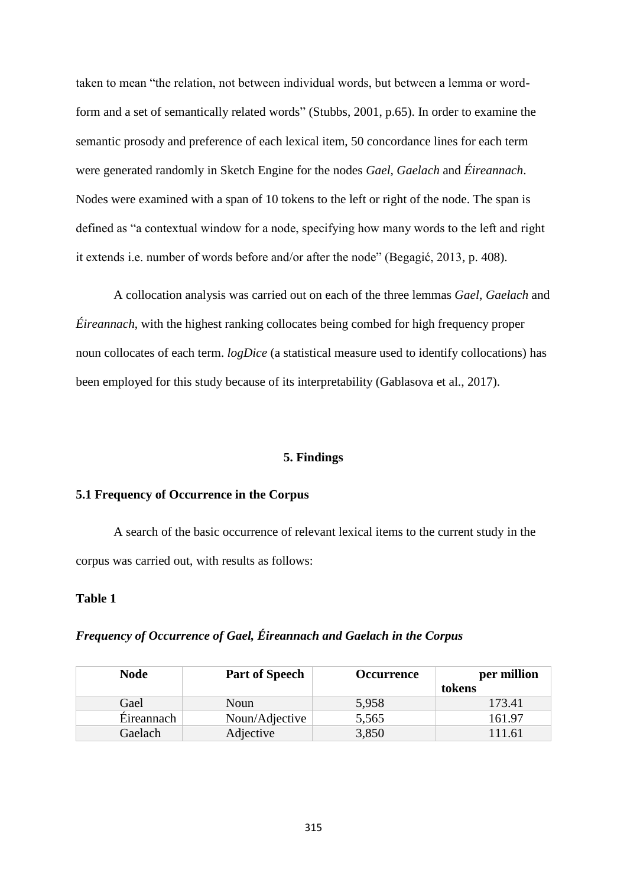taken to mean "the relation, not between individual words, but between a lemma or wordform and a set of semantically related words" (Stubbs, 2001, p.65). In order to examine the semantic prosody and preference of each lexical item, 50 concordance lines for each term were generated randomly in Sketch Engine for the nodes *Gael, Gaelach* and *Éireannach*. Nodes were examined with a span of 10 tokens to the left or right of the node. The span is defined as "a contextual window for a node, specifying how many words to the left and right it extends i.e. number of words before and/or after the node" (Begagić, 2013, p. 408).

A collocation analysis was carried out on each of the three lemmas *Gael*, *Gaelach* and *Éireannach*, with the highest ranking collocates being combed for high frequency proper noun collocates of each term. *logDice* (a statistical measure used to identify collocations) has been employed for this study because of its interpretability (Gablasova et al., 2017).

#### **5. Findings**

### **5.1 Frequency of Occurrence in the Corpus**

A search of the basic occurrence of relevant lexical items to the current study in the corpus was carried out, with results as follows:

# **Table 1**

# *Frequency of Occurrence of Gael, Éireannach and Gaelach in the Corpus*

| <b>Node</b> | <b>Part of Speech</b> | <b>Occurrence</b> | per million |
|-------------|-----------------------|-------------------|-------------|
|             |                       |                   | tokens      |
| Gael        | Noun                  | 5,958             | 173.41      |
| Eireannach  | Noun/Adjective        | 5,565             | 161.97      |
| Gaelach     | Adjective             | 3,850             | 111.61      |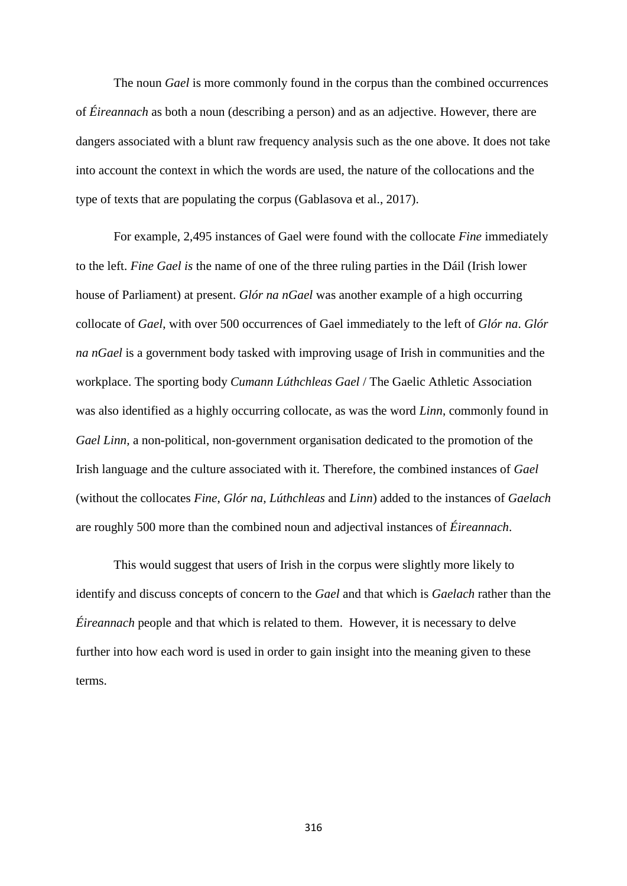The noun *Gael* is more commonly found in the corpus than the combined occurrences of *Éireannach* as both a noun (describing a person) and as an adjective. However, there are dangers associated with a blunt raw frequency analysis such as the one above. It does not take into account the context in which the words are used, the nature of the collocations and the type of texts that are populating the corpus (Gablasova et al., 2017).

For example, 2,495 instances of Gael were found with the collocate *Fine* immediately to the left. *Fine Gael is* the name of one of the three ruling parties in the Dáil (Irish lower house of Parliament) at present. *Glór na nGael* was another example of a high occurring collocate of *Gael*, with over 500 occurrences of Gael immediately to the left of *Glór na*. *Glór na nGael* is a government body tasked with improving usage of Irish in communities and the workplace. The sporting body *Cumann Lúthchleas Gael* / The Gaelic Athletic Association was also identified as a highly occurring collocate, as was the word *Linn*, commonly found in *Gael Linn,* a non-political, non-government organisation dedicated to the promotion of the Irish language and the culture associated with it. Therefore, the combined instances of *Gael* (without the collocates *Fine*, *Glór na, Lúthchleas* and *Linn*) added to the instances of *Gaelach*  are roughly 500 more than the combined noun and adjectival instances of *Éireannach*.

This would suggest that users of Irish in the corpus were slightly more likely to identify and discuss concepts of concern to the *Gael* and that which is *Gaelach* rather than the *Éireannach* people and that which is related to them. However, it is necessary to delve further into how each word is used in order to gain insight into the meaning given to these terms.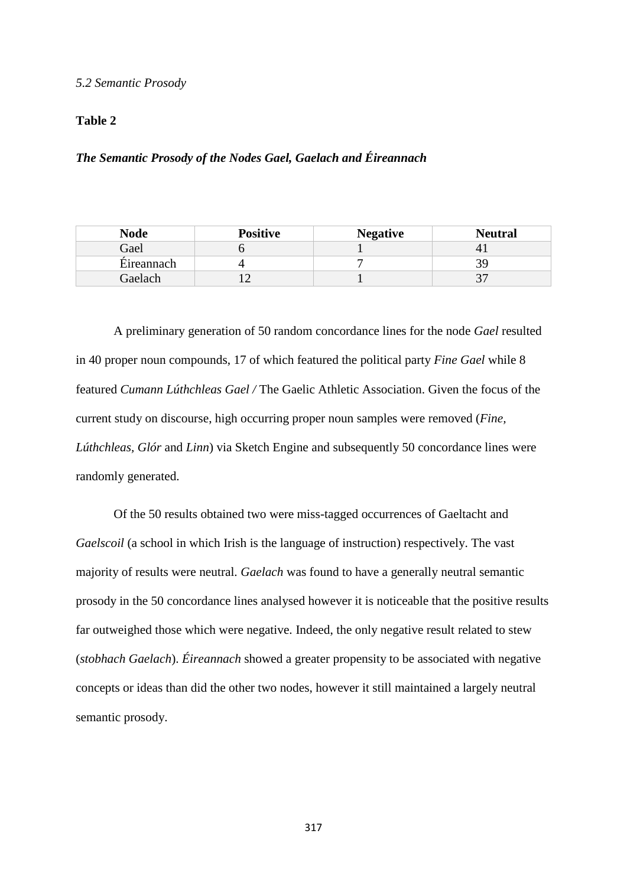#### *5.2 Semantic Prosody*

### **Table 2**

# *The Semantic Prosody of the Nodes Gael, Gaelach and Éireannach*

| <b>Node</b> | <b>Positive</b> | <b>Negative</b> | <b>Neutral</b> |
|-------------|-----------------|-----------------|----------------|
| Gael        |                 |                 |                |
| Eireannach  |                 |                 |                |
| Gaelach     |                 |                 |                |

A preliminary generation of 50 random concordance lines for the node *Gael* resulted in 40 proper noun compounds, 17 of which featured the political party *Fine Gael* while 8 featured *Cumann Lúthchleas Gael /* The Gaelic Athletic Association. Given the focus of the current study on discourse, high occurring proper noun samples were removed (*Fine, Lúthchleas, Glór* and *Linn*) via Sketch Engine and subsequently 50 concordance lines were randomly generated.

Of the 50 results obtained two were miss-tagged occurrences of Gaeltacht and *Gaelscoil* (a school in which Irish is the language of instruction) respectively. The vast majority of results were neutral. *Gaelach* was found to have a generally neutral semantic prosody in the 50 concordance lines analysed however it is noticeable that the positive results far outweighed those which were negative. Indeed, the only negative result related to stew (*stobhach Gaelach*). *Éireannach* showed a greater propensity to be associated with negative concepts or ideas than did the other two nodes, however it still maintained a largely neutral semantic prosody.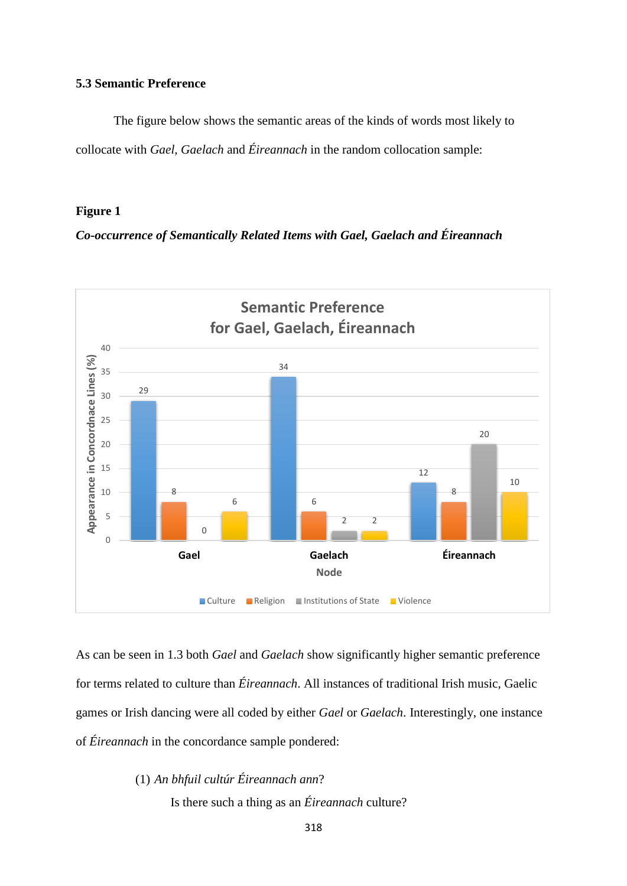# **5.3 Semantic Preference**

The figure below shows the semantic areas of the kinds of words most likely to collocate with *Gael, Gaelach* and *Éireannach* in the random collocation sample:

# **Figure 1**

*Co-occurrence of Semantically Related Items with Gael, Gaelach and Éireannach*



As can be seen in 1.3 both *Gael* and *Gaelach* show significantly higher semantic preference for terms related to culture than *Éireannach*. All instances of traditional Irish music, Gaelic games or Irish dancing were all coded by either *Gael* or *Gaelach*. Interestingly, one instance of *Éireannach* in the concordance sample pondered:

> (1) *An bhfuil cultúr Éireannach ann*? Is there such a thing as an *Éireannach* culture?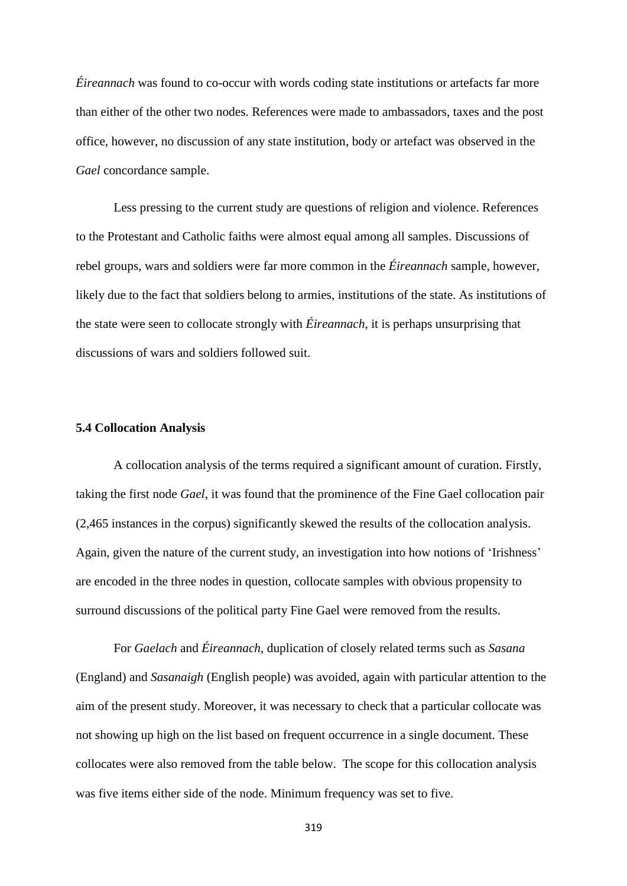*Éireannach* was found to co-occur with words coding state institutions or artefacts far more than either of the other two nodes. References were made to ambassadors, taxes and the post office, however, no discussion of any state institution, body or artefact was observed in the *Gael* concordance sample.

Less pressing to the current study are questions of religion and violence. References to the Protestant and Catholic faiths were almost equal among all samples. Discussions of rebel groups, wars and soldiers were far more common in the *Éireannach* sample, however, likely due to the fact that soldiers belong to armies, institutions of the state. As institutions of the state were seen to collocate strongly with *Éireannach*, it is perhaps unsurprising that discussions of wars and soldiers followed suit.

#### **5.4 Collocation Analysis**

A collocation analysis of the terms required a significant amount of curation. Firstly, taking the first node *Gael*, it was found that the prominence of the Fine Gael collocation pair (2,465 instances in the corpus) significantly skewed the results of the collocation analysis. Again, given the nature of the current study, an investigation into how notions of 'Irishness' are encoded in the three nodes in question, collocate samples with obvious propensity to surround discussions of the political party Fine Gael were removed from the results.

For *Gaelach* and *Éireannach*, duplication of closely related terms such as *Sasana* (England) and *Sasanaigh* (English people) was avoided, again with particular attention to the aim of the present study. Moreover, it was necessary to check that a particular collocate was not showing up high on the list based on frequent occurrence in a single document. These collocates were also removed from the table below. The scope for this collocation analysis was five items either side of the node. Minimum frequency was set to five.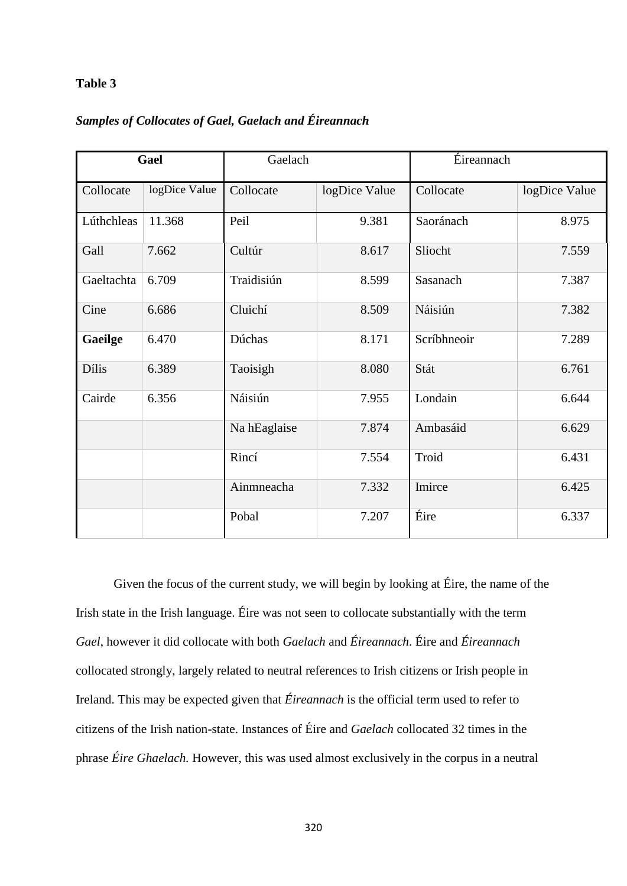# **Table 3**

# *Samples of Collocates of Gael, Gaelach and Éireannach*

| Gael         |               | Gaelach      |               | Eireannach  |               |
|--------------|---------------|--------------|---------------|-------------|---------------|
| Collocate    | logDice Value | Collocate    | logDice Value | Collocate   | logDice Value |
| Lúthchleas   | 11.368        | Peil         | 9.381         | Saoránach   | 8.975         |
| Gall         | 7.662         | Cultúr       | 8.617         | Sliocht     | 7.559         |
| Gaeltachta   | 6.709         | Traidisiún   | 8.599         | Sasanach    | 7.387         |
| Cine         | 6.686         | Cluichí      | 8.509         | Náisiún     | 7.382         |
| Gaeilge      | 6.470         | Dúchas       | 8.171         | Scríbhneoir | 7.289         |
| <b>Dílis</b> | 6.389         | Taoisigh     | 8.080         | Stát        | 6.761         |
| Cairde       | 6.356         | Náisiún      | 7.955         | Londain     | 6.644         |
|              |               | Na hEaglaise | 7.874         | Ambasáid    | 6.629         |
|              |               | Rincí        | 7.554         | Troid       | 6.431         |
|              |               | Ainmneacha   | 7.332         | Imirce      | 6.425         |
|              |               | Pobal        | 7.207         | Éire        | 6.337         |

Given the focus of the current study, we will begin by looking at Éire, the name of the Irish state in the Irish language. Éire was not seen to collocate substantially with the term *Gael*, however it did collocate with both *Gaelach* and *Éireannach*. Éire and *Éireannach* collocated strongly, largely related to neutral references to Irish citizens or Irish people in Ireland. This may be expected given that *Éireannach* is the official term used to refer to citizens of the Irish nation-state. Instances of Éire and *Gaelach* collocated 32 times in the phrase *Éire Ghaelach.* However, this was used almost exclusively in the corpus in a neutral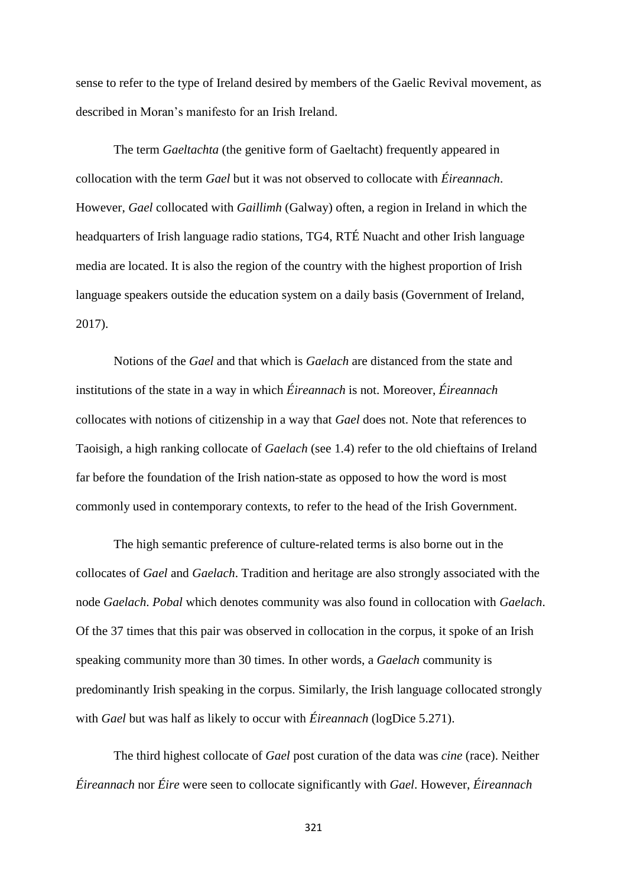sense to refer to the type of Ireland desired by members of the Gaelic Revival movement, as described in Moran's manifesto for an Irish Ireland.

The term *Gaeltachta* (the genitive form of Gaeltacht) frequently appeared in collocation with the term *Gael* but it was not observed to collocate with *Éireannach*. However, *Gael* collocated with *Gaillimh* (Galway) often, a region in Ireland in which the headquarters of Irish language radio stations, TG4, RTÉ Nuacht and other Irish language media are located. It is also the region of the country with the highest proportion of Irish language speakers outside the education system on a daily basis (Government of Ireland, 2017).

Notions of the *Gael* and that which is *Gaelach* are distanced from the state and institutions of the state in a way in which *Éireannach* is not. Moreover, *Éireannach*  collocates with notions of citizenship in a way that *Gael* does not. Note that references to Taoisigh, a high ranking collocate of *Gaelach* (see 1.4) refer to the old chieftains of Ireland far before the foundation of the Irish nation-state as opposed to how the word is most commonly used in contemporary contexts, to refer to the head of the Irish Government.

The high semantic preference of culture-related terms is also borne out in the collocates of *Gael* and *Gaelach*. Tradition and heritage are also strongly associated with the node *Gaelach*. *Pobal* which denotes community was also found in collocation with *Gaelach*. Of the 37 times that this pair was observed in collocation in the corpus, it spoke of an Irish speaking community more than 30 times. In other words, a *Gaelach* community is predominantly Irish speaking in the corpus. Similarly, the Irish language collocated strongly with *Gael* but was half as likely to occur with *Éireannach* (logDice 5.271).

The third highest collocate of *Gael* post curation of the data was *cine* (race). Neither *Éireannach* nor *Éire* were seen to collocate significantly with *Gael*. However, *Éireannach*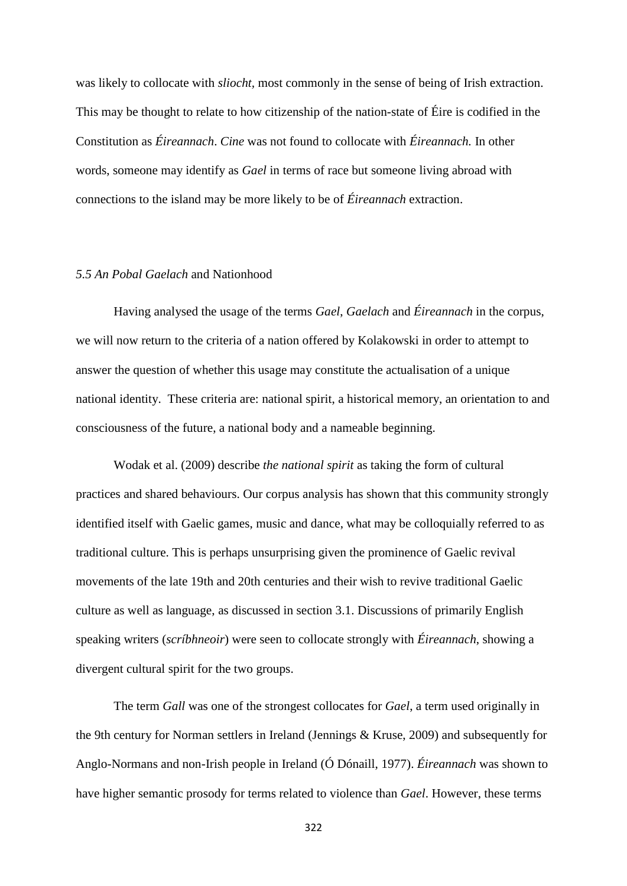was likely to collocate with *sliocht,* most commonly in the sense of being of Irish extraction. This may be thought to relate to how citizenship of the nation-state of Éire is codified in the Constitution as *Éireannach*. *Cine* was not found to collocate with *Éireannach.* In other words, someone may identify as *Gael* in terms of race but someone living abroad with connections to the island may be more likely to be of *Éireannach* extraction.

#### *5.5 An Pobal Gaelach* and Nationhood

Having analysed the usage of the terms *Gael*, *Gaelach* and *Éireannach* in the corpus, we will now return to the criteria of a nation offered by Kolakowski in order to attempt to answer the question of whether this usage may constitute the actualisation of a unique national identity. These criteria are: national spirit, a historical memory, an orientation to and consciousness of the future, a national body and a nameable beginning.

Wodak et al. (2009) describe *the national spirit* as taking the form of cultural practices and shared behaviours. Our corpus analysis has shown that this community strongly identified itself with Gaelic games, music and dance, what may be colloquially referred to as traditional culture. This is perhaps unsurprising given the prominence of Gaelic revival movements of the late 19th and 20th centuries and their wish to revive traditional Gaelic culture as well as language, as discussed in section 3.1. Discussions of primarily English speaking writers (*scríbhneoir*) were seen to collocate strongly with *Éireannach*, showing a divergent cultural spirit for the two groups.

The term *Gall* was one of the strongest collocates for *Gael*, a term used originally in the 9th century for Norman settlers in Ireland (Jennings & Kruse, 2009) and subsequently for Anglo-Normans and non-Irish people in Ireland (Ó Dónaill, 1977). *Éireannach* was shown to have higher semantic prosody for terms related to violence than *Gael*. However, these terms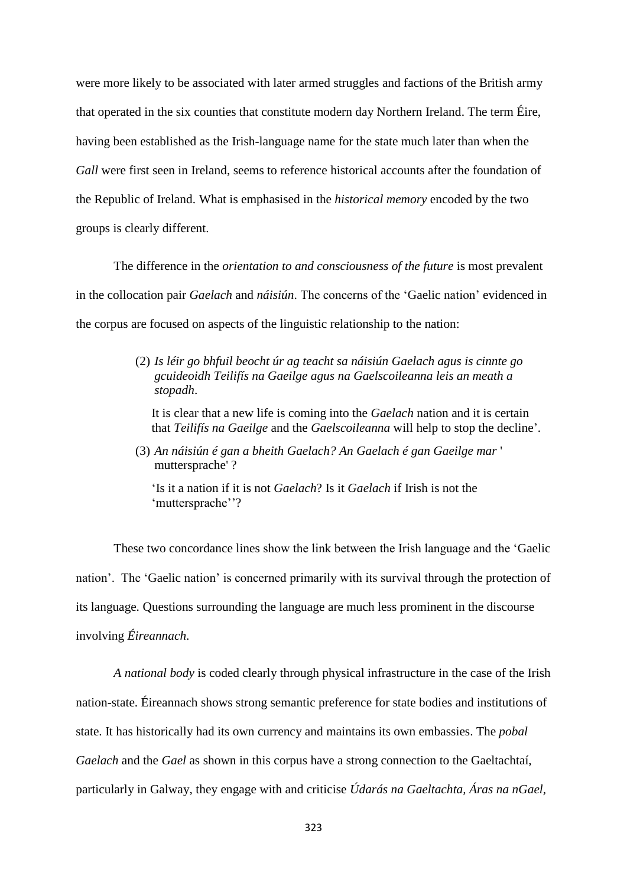were more likely to be associated with later armed struggles and factions of the British army that operated in the six counties that constitute modern day Northern Ireland. The term Éire, having been established as the Irish-language name for the state much later than when the *Gall* were first seen in Ireland, seems to reference historical accounts after the foundation of the Republic of Ireland. What is emphasised in the *historical memory* encoded by the two groups is clearly different.

The difference in the *orientation to and consciousness of the future* is most prevalent in the collocation pair *Gaelach* and *náisiún*. The concerns of the 'Gaelic nation' evidenced in the corpus are focused on aspects of the linguistic relationship to the nation:

> (2) *Is léir go bhfuil beocht úr ag teacht sa náisiún Gaelach agus is cinnte go gcuideoidh Teilifís na Gaeilge agus na Gaelscoileanna leis an meath a stopadh*.

It is clear that a new life is coming into the *Gaelach* nation and it is certain that *Teilifís na Gaeilge* and the *Gaelscoileanna* will help to stop the decline'.

(3) *An náisiún é gan a bheith Gaelach? An Gaelach é gan Gaeilge mar* ' muttersprache' ?

'Is it a nation if it is not *Gaelach*? Is it *Gaelach* if Irish is not the 'muttersprache''?

These two concordance lines show the link between the Irish language and the 'Gaelic nation'. The 'Gaelic nation' is concerned primarily with its survival through the protection of its language. Questions surrounding the language are much less prominent in the discourse involving *Éireannach*.

*A national body* is coded clearly through physical infrastructure in the case of the Irish nation-state. Éireannach shows strong semantic preference for state bodies and institutions of state. It has historically had its own currency and maintains its own embassies. The *pobal Gaelach* and the *Gael* as shown in this corpus have a strong connection to the Gaeltachtaí, particularly in Galway, they engage with and criticise *Údarás na Gaeltachta, Áras na nGael,*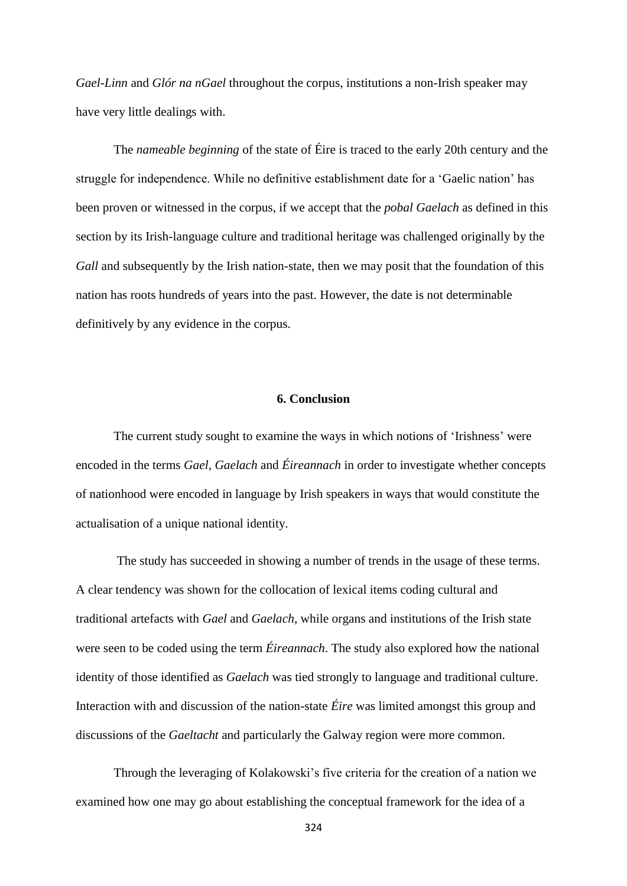*Gael-Linn* and *Glór na nGael* throughout the corpus, institutions a non-Irish speaker may have very little dealings with.

The *nameable beginning* of the state of Éire is traced to the early 20th century and the struggle for independence. While no definitive establishment date for a 'Gaelic nation' has been proven or witnessed in the corpus, if we accept that the *pobal Gaelach* as defined in this section by its Irish-language culture and traditional heritage was challenged originally by the *Gall* and subsequently by the Irish nation-state, then we may posit that the foundation of this nation has roots hundreds of years into the past. However, the date is not determinable definitively by any evidence in the corpus.

# **6. Conclusion**

The current study sought to examine the ways in which notions of 'Irishness' were encoded in the terms *Gael, Gaelach* and *Éireannach* in order to investigate whether concepts of nationhood were encoded in language by Irish speakers in ways that would constitute the actualisation of a unique national identity.

The study has succeeded in showing a number of trends in the usage of these terms. A clear tendency was shown for the collocation of lexical items coding cultural and traditional artefacts with *Gael* and *Gaelach,* while organs and institutions of the Irish state were seen to be coded using the term *Éireannach*. The study also explored how the national identity of those identified as *Gaelach* was tied strongly to language and traditional culture. Interaction with and discussion of the nation-state *Éire* was limited amongst this group and discussions of the *Gaeltacht* and particularly the Galway region were more common.

Through the leveraging of Kolakowski's five criteria for the creation of a nation we examined how one may go about establishing the conceptual framework for the idea of a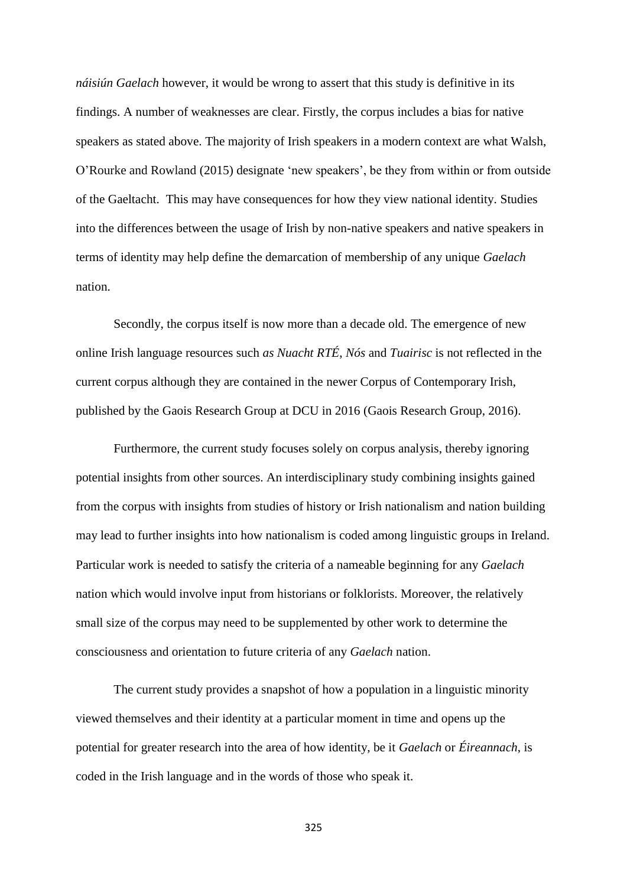*náisiún Gaelach* however, it would be wrong to assert that this study is definitive in its findings. A number of weaknesses are clear. Firstly, the corpus includes a bias for native speakers as stated above. The majority of Irish speakers in a modern context are what Walsh, O'Rourke and Rowland (2015) designate 'new speakers', be they from within or from outside of the Gaeltacht. This may have consequences for how they view national identity. Studies into the differences between the usage of Irish by non-native speakers and native speakers in terms of identity may help define the demarcation of membership of any unique *Gaelach* nation.

Secondly, the corpus itself is now more than a decade old. The emergence of new online Irish language resources such *as Nuacht RTÉ*, *Nós* and *Tuairisc* is not reflected in the current corpus although they are contained in the newer Corpus of Contemporary Irish, published by the Gaois Research Group at DCU in 2016 (Gaois Research Group, 2016).

Furthermore, the current study focuses solely on corpus analysis, thereby ignoring potential insights from other sources. An interdisciplinary study combining insights gained from the corpus with insights from studies of history or Irish nationalism and nation building may lead to further insights into how nationalism is coded among linguistic groups in Ireland. Particular work is needed to satisfy the criteria of a nameable beginning for any *Gaelach* nation which would involve input from historians or folklorists. Moreover, the relatively small size of the corpus may need to be supplemented by other work to determine the consciousness and orientation to future criteria of any *Gaelach* nation.

The current study provides a snapshot of how a population in a linguistic minority viewed themselves and their identity at a particular moment in time and opens up the potential for greater research into the area of how identity, be it *Gaelach* or *Éireannach*, is coded in the Irish language and in the words of those who speak it.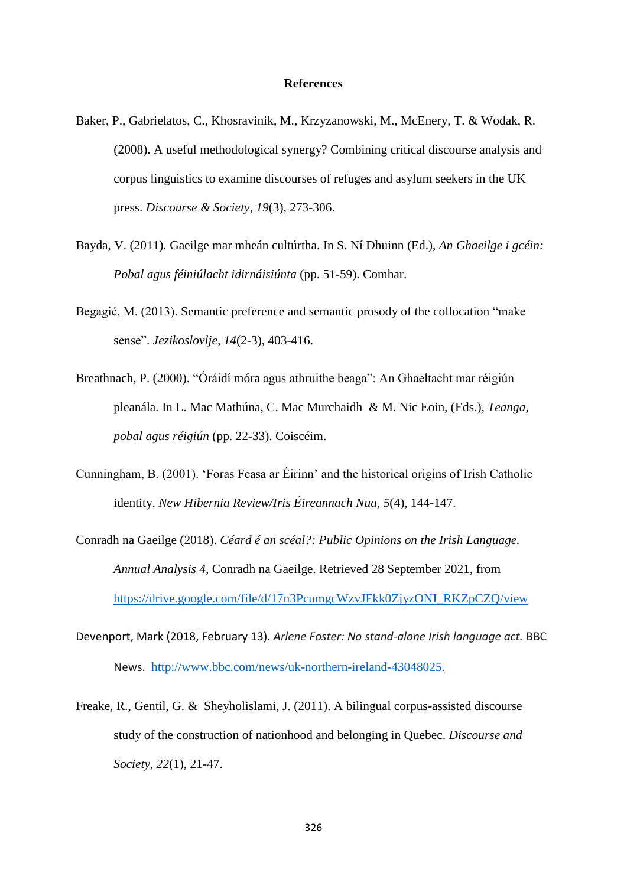#### **References**

- Baker, P., Gabrielatos, C., Khosravinik, M., Krzyzanowski, M., McEnery, T. & Wodak, R. (2008). A useful methodological synergy? Combining critical discourse analysis and corpus linguistics to examine discourses of refuges and asylum seekers in the UK press. *Discourse & Society*, *19*(3), 273-306.
- Bayda, V. (2011). Gaeilge mar mheán cultúrtha. In S. Ní Dhuinn (Ed.), *An Ghaeilge i gcéin: Pobal agus féiniúlacht idirnáisiúnta* (pp. 51-59). Comhar.
- Begagić, M. (2013). Semantic preference and semantic prosody of the collocation "make sense". *Jezikoslovlje, 14*(2-3), 403-416.
- Breathnach, P. (2000). "Óráidí móra agus athruithe beaga": An Ghaeltacht mar réigiún pleanála. In L. Mac Mathúna, C. Mac Murchaidh & M. Nic Eoin, (Eds.), *Teanga, pobal agus réigiún* (pp. 22-33). Coiscéim.
- Cunningham, B. (2001). 'Foras Feasa ar Éirinn' and the historical origins of Irish Catholic identity. *New Hibernia Review/Iris Éireannach Nua, 5*(4), 144-147.
- Conradh na Gaeilge (2018). *Céard é an scéal?: Public Opinions on the Irish Language. Annual Analysis 4,* Conradh na Gaeilge. Retrieved 28 September 2021, from [https://drive.google.com/file/d/17n3PcumgcWzvJFkk0ZjyzONI\\_RKZpCZQ/view](https://drive.google.com/file/d/17n3PcumgcWzvJFkk0ZjyzONI_RKZpCZQ/view)
- Devenport, Mark (2018, February 13). *Arlene Foster: No stand-alone Irish language act.* BBC News. [http://www.bbc.com/news/uk-northern-ireland-43048025.](http://www.bbc.com/news/uk-northern-ireland-43048025)
- Freake, R., Gentil, G. & Sheyholislami, J. (2011). A bilingual corpus-assisted discourse study of the construction of nationhood and belonging in Quebec. *Discourse and Society, 22*(1), 21-47.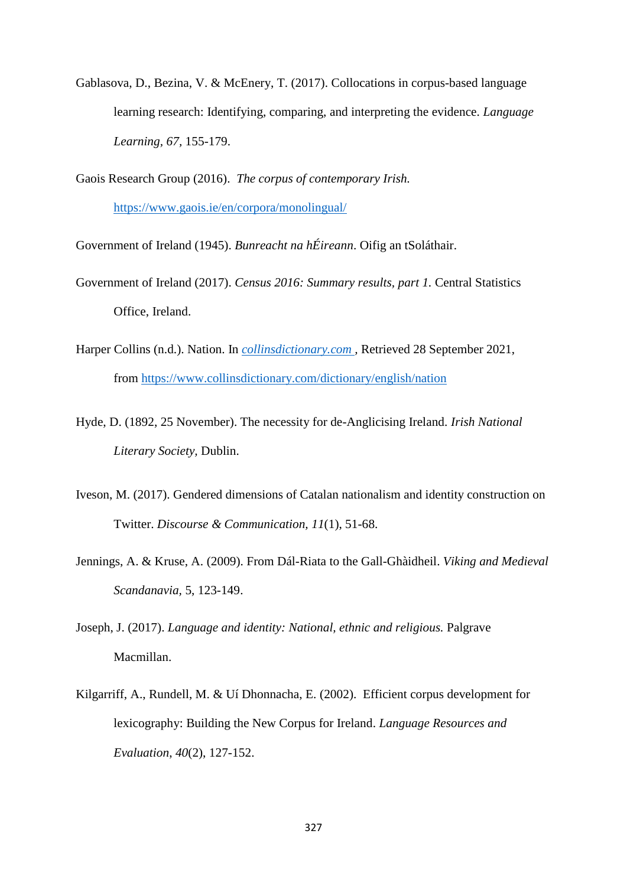Gablasova, D., Bezina, V. & McEnery, T. (2017). Collocations in corpus-based language learning research: Identifying, comparing, and interpreting the evidence. *Language Learning, 67,* 155-179.

Gaois Research Group (2016). *The corpus of contemporary Irish.* <https://www.gaois.ie/en/corpora/monolingual/>

Government of Ireland (1945). *Bunreacht na hÉireann*. Oifig an tSoláthair.

- Government of Ireland (2017). *Census 2016: Summary results, part 1.* Central Statistics Office, Ireland.
- Harper Collins (n.d.). Nation. In *collinsdictionary.com ,* Retrieved 28 September 2021, from <https://www.collinsdictionary.com/dictionary/english/nation>
- Hyde, D. (1892, 25 November). The necessity for de-Anglicising Ireland. *Irish National Literary Society,* Dublin.
- Iveson, M. (2017). Gendered dimensions of Catalan nationalism and identity construction on Twitter. *Discourse & Communication, 11*(1), 51-68.
- Jennings, A. & Kruse, A. (2009). From Dál-Riata to the Gall-Ghàidheil. *Viking and Medieval Scandanavia,* 5, 123-149.
- Joseph, J. (2017). *Language and identity: National, ethnic and religious.* Palgrave Macmillan.
- Kilgarriff, A., Rundell, M. & Uí Dhonnacha, E. (2002). Efficient corpus development for lexicography: Building the New Corpus for Ireland. *Language Resources and Evaluation*, *40*(2), 127-152.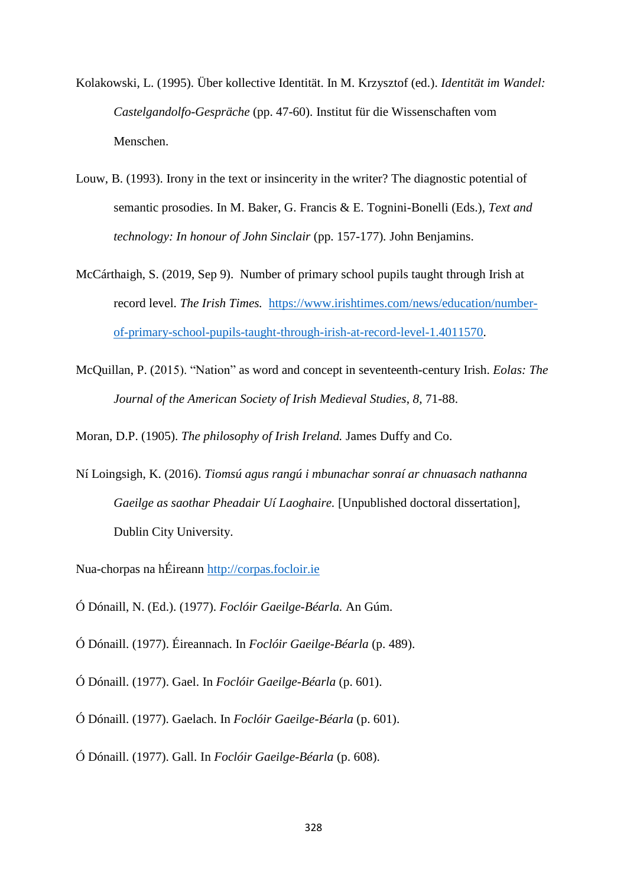- Kolakowski, L. (1995). Über kollective Identität. In M. Krzysztof (ed.). *Identität im Wandel: Castelgandolfo-Gespräche* (pp. 47-60). Institut für die Wissenschaften vom Menschen.
- Louw, B. (1993). Irony in the text or insincerity in the writer? The diagnostic potential of semantic prosodies. In M. Baker, G. Francis & E. Tognini-Bonelli (Eds.), *Text and technology: In honour of John Sinclair* (pp. 157-177). John Benjamins.
- McCárthaigh, S. (2019, Sep 9). Number of primary school pupils taught through Irish at record level. *The Irish Times.* [https://www.irishtimes.com/news/education/number](https://www.irishtimes.com/news/education/number-of-primary-school-pupils-taught-through-irish-at-record-level-1.4011570)[of-primary-school-pupils-taught-through-irish-at-record-level-1.4011570.](https://www.irishtimes.com/news/education/number-of-primary-school-pupils-taught-through-irish-at-record-level-1.4011570)
- McQuillan, P. (2015). "Nation" as word and concept in seventeenth-century Irish. *Eolas: The Journal of the American Society of Irish Medieval Studies*, *8*, 71-88.

Moran, D.P. (1905). *The philosophy of Irish Ireland.* James Duffy and Co.

- Ní Loingsigh, K. (2016). *Tiomsú agus rangú i mbunachar sonraí ar chnuasach nathanna Gaeilge as saothar Pheadair Uí Laoghaire.* [Unpublished doctoral dissertation], Dublin City University.
- Nua-chorpas na hÉireann [http://corpas.focloir.ie](http://corpas.focloir.ie/)
- Ó Dónaill, N. (Ed.). (1977). *Foclóir Gaeilge-Béarla.* An Gúm.
- Ó Dónaill. (1977). Éireannach. In *Foclóir Gaeilge-Béarla* (p. 489).
- Ó Dónaill. (1977). Gael. In *Foclóir Gaeilge-Béarla* (p. 601).
- Ó Dónaill. (1977). Gaelach. In *Foclóir Gaeilge-Béarla* (p. 601).
- Ó Dónaill. (1977). Gall. In *Foclóir Gaeilge-Béarla* (p. 608).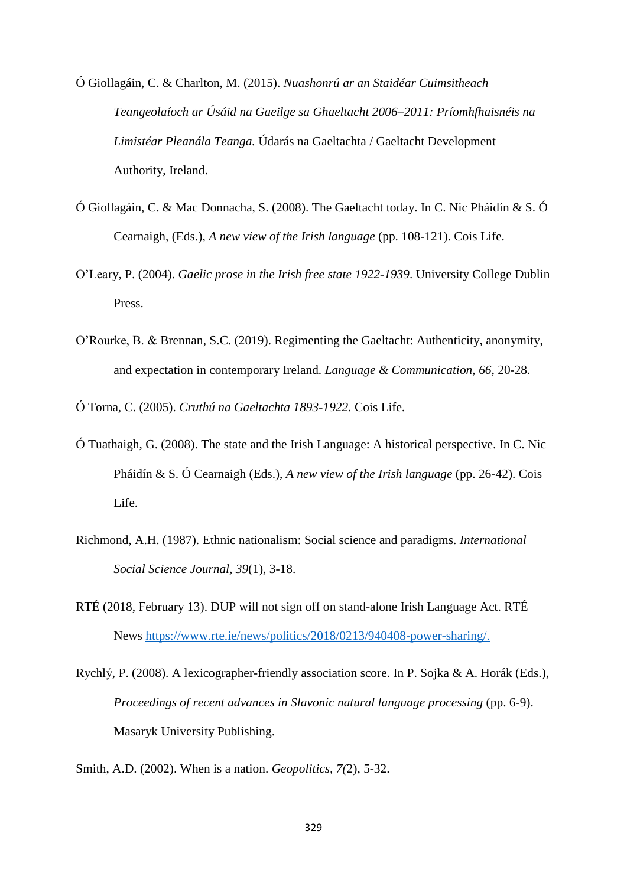Ó Giollagáin, C. & Charlton, M. (2015). *Nuashonrú ar an Staidéar Cuimsitheach Teangeolaíoch ar Úsáid na Gaeilge sa Ghaeltacht 2006–2011: Príomhfhaisnéis na Limistéar Pleanála Teanga.* Údarás na Gaeltachta / Gaeltacht Development Authority, Ireland.

- Ó Giollagáin, C. & Mac Donnacha, S. (2008). The Gaeltacht today. In C. Nic Pháidín & S. Ó Cearnaigh, (Eds.), *A new view of the Irish language* (pp. 108-121). Cois Life.
- O'Leary, P. (2004). *Gaelic prose in the Irish free state 1922-1939*. University College Dublin Press.
- O'Rourke, B. & Brennan, S.C. (2019). Regimenting the Gaeltacht: Authenticity, anonymity, and expectation in contemporary Ireland. *Language & Communication, 66*, 20-28.
- Ó Torna, C. (2005). *Cruthú na Gaeltachta 1893-1922.* Cois Life.
- Ó Tuathaigh, G. (2008). The state and the Irish Language: A historical perspective. In C. Nic Pháidín & S. Ó Cearnaigh (Eds.), *A new view of the Irish language* (pp. 26-42). Cois Life.
- Richmond, A.H. (1987). Ethnic nationalism: Social science and paradigms. *International Social Science Journal, 39*(1), 3-18.
- RTÉ (2018, February 13). DUP will not sign off on stand-alone Irish Language Act. RTÉ News [https://www.rte.ie/news/politics/2018/0213/940408-power-sharing/.](https://www.rte.ie/news/politics/2018/0213/940408-power-sharing/)
- Rychlý, P. (2008). A lexicographer-friendly association score. In P. Sojka & A. Horák (Eds.), *Proceedings of recent advances in Slavonic natural language processing* (pp. 6-9). Masaryk University Publishing.

Smith, A.D. (2002). When is a nation. *Geopolitics, 7(*2), 5-32.